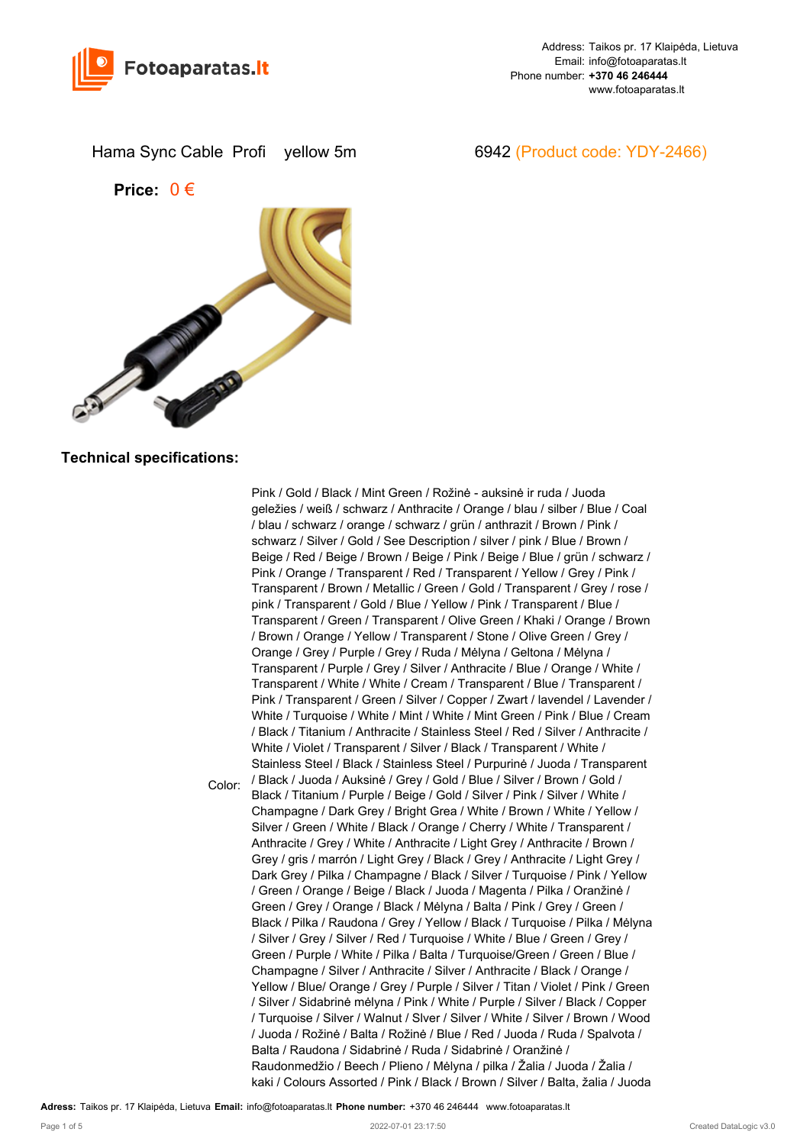

Hama Sync Cable Profi yellow 5m 6942 (Product code: YDY-2466)

**Price:** 0 €



## **Technical specifications:**

Color: Pink / Gold / Black / Mint Green / Rožinė - auksinė ir ruda / Juoda geležies / weiß / schwarz / Anthracite / Orange / blau / silber / Blue / Coal / blau / schwarz / orange / schwarz / grün / anthrazit / Brown / Pink / schwarz / Silver / Gold / See Description / silver / pink / Blue / Brown / Beige / Red / Beige / Brown / Beige / Pink / Beige / Blue / grün / schwarz / Pink / Orange / Transparent / Red / Transparent / Yellow / Grey / Pink / Transparent / Brown / Metallic / Green / Gold / Transparent / Grey / rose / pink / Transparent / Gold / Blue / Yellow / Pink / Transparent / Blue / Transparent / Green / Transparent / Olive Green / Khaki / Orange / Brown / Brown / Orange / Yellow / Transparent / Stone / Olive Green / Grey / Orange / Grey / Purple / Grey / Ruda / Mėlyna / Geltona / Mėlyna / Transparent / Purple / Grey / Silver / Anthracite / Blue / Orange / White / Transparent / White / White / Cream / Transparent / Blue / Transparent / Pink / Transparent / Green / Silver / Copper / Zwart / lavendel / Lavender / White / Turquoise / White / Mint / White / Mint Green / Pink / Blue / Cream / Black / Titanium / Anthracite / Stainless Steel / Red / Silver / Anthracite / White / Violet / Transparent / Silver / Black / Transparent / White / Stainless Steel / Black / Stainless Steel / Purpurinė / Juoda / Transparent / Black / Juoda / Auksinė / Grey / Gold / Blue / Silver / Brown / Gold / Black / Titanium / Purple / Beige / Gold / Silver / Pink / Silver / White / Champagne / Dark Grey / Bright Grea / White / Brown / White / Yellow / Silver / Green / White / Black / Orange / Cherry / White / Transparent / Anthracite / Grey / White / Anthracite / Light Grey / Anthracite / Brown / Grey / gris / marrón / Light Grey / Black / Grey / Anthracite / Light Grey / Dark Grey / Pilka / Champagne / Black / Silver / Turquoise / Pink / Yellow / Green / Orange / Beige / Black / Juoda / Magenta / Pilka / Oranžinė / Green / Grey / Orange / Black / Mėlyna / Balta / Pink / Grey / Green / Black / Pilka / Raudona / Grey / Yellow / Black / Turquoise / Pilka / Mėlyna / Silver / Grey / Silver / Red / Turquoise / White / Blue / Green / Grey / Green / Purple / White / Pilka / Balta / Turquoise/Green / Green / Blue / Champagne / Silver / Anthracite / Silver / Anthracite / Black / Orange / Yellow / Blue/ Orange / Grey / Purple / Silver / Titan / Violet / Pink / Green / Silver / Sidabrinė mėlyna / Pink / White / Purple / Silver / Black / Copper / Turquoise / Silver / Walnut / Slver / Silver / White / Silver / Brown / Wood / Juoda / Rožinė / Balta / Rožinė / Blue / Red / Juoda / Ruda / Spalvota / Balta / Raudona / Sidabrinė / Ruda / Sidabrinė / Oranžinė / Raudonmedžio / Beech / Plieno / Mėlyna / pilka / Žalia / Juoda / Žalia / kaki / Colours Assorted / Pink / Black / Brown / Silver / Balta, žalia / Juoda

**Adress:** Taikos pr. 17 Klaipėda, Lietuva **Email:** info@fotoaparatas.lt **Phone number:** +370 46 246444 www.fotoaparatas.lt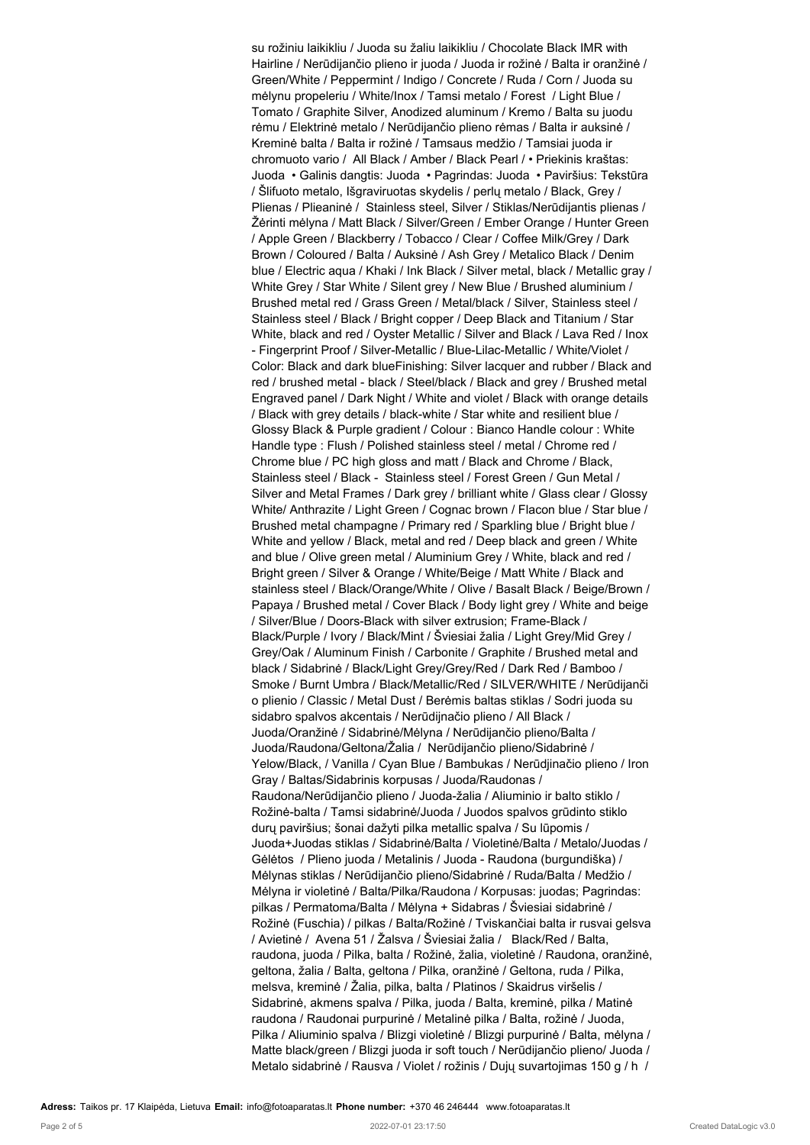su rožiniu laikikliu / Juoda su žaliu laikikliu / Chocolate Black IMR with Hairline / Nerūdijančio plieno ir juoda / Juoda ir rožinė / Balta ir oranžinė / Green/White / Peppermint / Indigo / Concrete / Ruda / Corn / Juoda su mėlynu propeleriu / White/Inox / Tamsi metalo / Forest / Light Blue / Tomato / Graphite Silver, Anodized aluminum / Kremo / Balta su juodu rėmu / Elektrinė metalo / Nerūdijančio plieno rėmas / Balta ir auksinė / Kreminė balta / Balta ir rožinė / Tamsaus medžio / Tamsiai juoda ir chromuoto vario / All Black / Amber / Black Pearl / • Priekinis kraštas: Juoda • Galinis dangtis: Juoda • Pagrindas: Juoda • Paviršius: Tekstūra / Šlifuoto metalo, Išgraviruotas skydelis / perlų metalo / Black, Grey / Plienas / Plieaninė / Stainless steel, Silver / Stiklas/Nerūdijantis plienas / Žėrinti mėlyna / Matt Black / Silver/Green / Ember Orange / Hunter Green / Apple Green / Blackberry / Tobacco / Clear / Coffee Milk/Grey / Dark Brown / Coloured / Balta / Auksinė / Ash Grey / Metalico Black / Denim blue / Electric aqua / Khaki / Ink Black / Silver metal, black / Metallic gray / White Grey / Star White / Silent grey / New Blue / Brushed aluminium / Brushed metal red / Grass Green / Metal/black / Silver, Stainless steel / Stainless steel / Black / Bright copper / Deep Black and Titanium / Star White, black and red / Oyster Metallic / Silver and Black / Lava Red / Inox - Fingerprint Proof / Silver-Metallic / Blue-Lilac-Metallic / White/Violet / Color: Black and dark blueFinishing: Silver lacquer and rubber / Black and red / brushed metal - black / Steel/black / Black and grey / Brushed metal Engraved panel / Dark Night / White and violet / Black with orange details / Black with grey details / black-white / Star white and resilient blue / Glossy Black & Purple gradient / Colour : Bianco Handle colour : White Handle type : Flush / Polished stainless steel / metal / Chrome red / Chrome blue / PC high gloss and matt / Black and Chrome / Black, Stainless steel / Black - Stainless steel / Forest Green / Gun Metal / Silver and Metal Frames / Dark grey / brilliant white / Glass clear / Glossy White/ Anthrazite / Light Green / Cognac brown / Flacon blue / Star blue / Brushed metal champagne / Primary red / Sparkling blue / Bright blue / White and yellow / Black, metal and red / Deep black and green / White and blue / Olive green metal / Aluminium Grey / White, black and red / Bright green / Silver & Orange / White/Beige / Matt White / Black and stainless steel / Black/Orange/White / Olive / Basalt Black / Beige/Brown / Papaya / Brushed metal / Cover Black / Body light grey / White and beige / Silver/Blue / Doors-Black with silver extrusion; Frame-Black / Black/Purple / Ivory / Black/Mint / Šviesiai žalia / Light Grey/Mid Grey / Grey/Oak / Aluminum Finish / Carbonite / Graphite / Brushed metal and black / Sidabrinė / Black/Light Grey/Grey/Red / Dark Red / Bamboo / Smoke / Burnt Umbra / Black/Metallic/Red / SILVER/WHITE / Nerūdijanči o plienio / Classic / Metal Dust / Berėmis baltas stiklas / Sodri juoda su sidabro spalvos akcentais / Nerūdijnačio plieno / All Black / Juoda/Oranžinė / Sidabrinė/Mėlyna / Nerūdijančio plieno/Balta / Juoda/Raudona/Geltona/Žalia / Nerūdijančio plieno/Sidabrinė / Yelow/Black, / Vanilla / Cyan Blue / Bambukas / Nerūdjinačio plieno / Iron Gray / Baltas/Sidabrinis korpusas / Juoda/Raudonas / Raudona/Nerūdijančio plieno / Juoda-žalia / Aliuminio ir balto stiklo / Rožinė-balta / Tamsi sidabrinė/Juoda / Juodos spalvos grūdinto stiklo durų paviršius; šonai dažyti pilka metallic spalva / Su lūpomis / Juoda+Juodas stiklas / Sidabrinė/Balta / Violetinė/Balta / Metalo/Juodas / Gėlėtos / Plieno juoda / Metalinis / Juoda - Raudona (burgundiška) / Mėlynas stiklas / Nerūdijančio plieno/Sidabrinė / Ruda/Balta / Medžio / Mėlyna ir violetinė / Balta/Pilka/Raudona / Korpusas: juodas; Pagrindas: pilkas / Permatoma/Balta / Mėlyna + Sidabras / Šviesiai sidabrinė / Rožinė (Fuschia) / pilkas / Balta/Rožinė / Tviskančiai balta ir rusvai gelsva / Avietinė / Avena 51 / Žalsva / Šviesiai žalia / Black/Red / Balta, raudona, juoda / Pilka, balta / Rožinė, žalia, violetinė / Raudona, oranžinė, geltona, žalia / Balta, geltona / Pilka, oranžinė / Geltona, ruda / Pilka, melsva, kreminė / Žalia, pilka, balta / Platinos / Skaidrus viršelis / Sidabrinė, akmens spalva / Pilka, juoda / Balta, kreminė, pilka / Matinė raudona / Raudonai purpurinė / Metalinė pilka / Balta, rožinė / Juoda, Pilka / Aliuminio spalva / Blizgi violetinė / Blizgi purpurinė / Balta, mėlyna / Matte black/green / Blizgi juoda ir soft touch / Nerūdijančio plieno/ Juoda / Metalo sidabrinė / Rausva / Violet / rožinis / Dujų suvartojimas 150 g / h /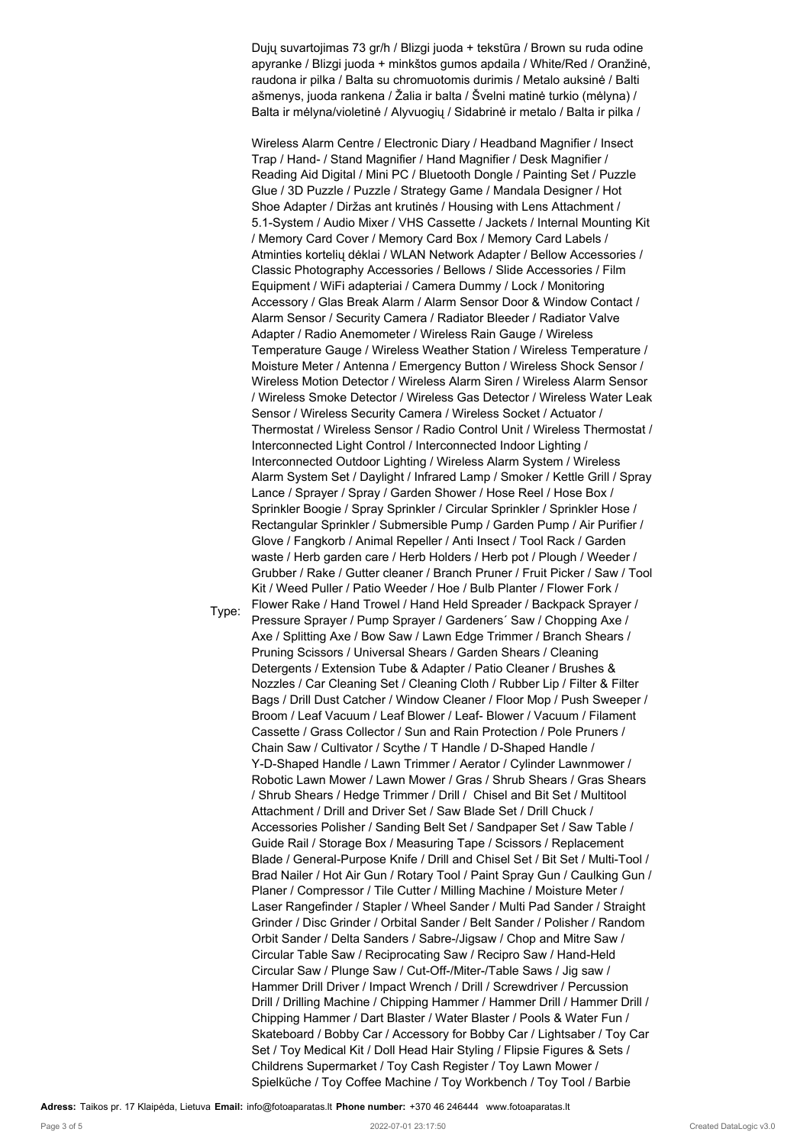Dujų suvartojimas 73 gr/h / Blizgi juoda + tekstūra / Brown su ruda odine apyranke / Blizgi juoda + minkštos gumos apdaila / White/Red / Oranžinė, raudona ir pilka / Balta su chromuotomis durimis / Metalo auksinė / Balti ašmenys, juoda rankena / Žalia ir balta / Švelni matinė turkio (mėlyna) / Balta ir mėlyna/violetinė / Alyvuogių / Sidabrinė ir metalo / Balta ir pilka /

Wireless Alarm Centre / Electronic Diary / Headband Magnifier / Insect Trap / Hand- / Stand Magnifier / Hand Magnifier / Desk Magnifier / Reading Aid Digital / Mini PC / Bluetooth Dongle / Painting Set / Puzzle Glue / 3D Puzzle / Puzzle / Strategy Game / Mandala Designer / Hot Shoe Adapter / Diržas ant krutinės / Housing with Lens Attachment / 5.1-System / Audio Mixer / VHS Cassette / Jackets / Internal Mounting Kit / Memory Card Cover / Memory Card Box / Memory Card Labels / Atminties kortelių dėklai / WLAN Network Adapter / Bellow Accessories / Classic Photography Accessories / Bellows / Slide Accessories / Film Equipment / WiFi adapteriai / Camera Dummy / Lock / Monitoring Accessory / Glas Break Alarm / Alarm Sensor Door & Window Contact / Alarm Sensor / Security Camera / Radiator Bleeder / Radiator Valve Adapter / Radio Anemometer / Wireless Rain Gauge / Wireless Temperature Gauge / Wireless Weather Station / Wireless Temperature / Moisture Meter / Antenna / Emergency Button / Wireless Shock Sensor / Wireless Motion Detector / Wireless Alarm Siren / Wireless Alarm Sensor / Wireless Smoke Detector / Wireless Gas Detector / Wireless Water Leak Sensor / Wireless Security Camera / Wireless Socket / Actuator / Thermostat / Wireless Sensor / Radio Control Unit / Wireless Thermostat / Interconnected Light Control / Interconnected Indoor Lighting / Interconnected Outdoor Lighting / Wireless Alarm System / Wireless Alarm System Set / Daylight / Infrared Lamp / Smoker / Kettle Grill / Spray Lance / Sprayer / Spray / Garden Shower / Hose Reel / Hose Box / Sprinkler Boogie / Spray Sprinkler / Circular Sprinkler / Sprinkler Hose / Rectangular Sprinkler / Submersible Pump / Garden Pump / Air Purifier / Glove / Fangkorb / Animal Repeller / Anti Insect / Tool Rack / Garden waste / Herb garden care / Herb Holders / Herb pot / Plough / Weeder / Grubber / Rake / Gutter cleaner / Branch Pruner / Fruit Picker / Saw / Tool Kit / Weed Puller / Patio Weeder / Hoe / Bulb Planter / Flower Fork / Flower Rake / Hand Trowel / Hand Held Spreader / Backpack Sprayer / Pressure Sprayer / Pump Sprayer / Gardeners' Saw / Chopping Axe / Axe / Splitting Axe / Bow Saw / Lawn Edge Trimmer / Branch Shears / Pruning Scissors / Universal Shears / Garden Shears / Cleaning Detergents / Extension Tube & Adapter / Patio Cleaner / Brushes & Nozzles / Car Cleaning Set / Cleaning Cloth / Rubber Lip / Filter & Filter Bags / Drill Dust Catcher / Window Cleaner / Floor Mop / Push Sweeper / Broom / Leaf Vacuum / Leaf Blower / Leaf- Blower / Vacuum / Filament Cassette / Grass Collector / Sun and Rain Protection / Pole Pruners / Chain Saw / Cultivator / Scythe / T Handle / D-Shaped Handle / Y-D-Shaped Handle / Lawn Trimmer / Aerator / Cylinder Lawnmower / Robotic Lawn Mower / Lawn Mower / Gras / Shrub Shears / Gras Shears / Shrub Shears / Hedge Trimmer / Drill / Chisel and Bit Set / Multitool Attachment / Drill and Driver Set / Saw Blade Set / Drill Chuck / Accessories Polisher / Sanding Belt Set / Sandpaper Set / Saw Table / Guide Rail / Storage Box / Measuring Tape / Scissors / Replacement Blade / General-Purpose Knife / Drill and Chisel Set / Bit Set / Multi-Tool / Brad Nailer / Hot Air Gun / Rotary Tool / Paint Spray Gun / Caulking Gun / Planer / Compressor / Tile Cutter / Milling Machine / Moisture Meter / Laser Rangefinder / Stapler / Wheel Sander / Multi Pad Sander / Straight Grinder / Disc Grinder / Orbital Sander / Belt Sander / Polisher / Random Orbit Sander / Delta Sanders / Sabre-/Jigsaw / Chop and Mitre Saw / Circular Table Saw / Reciprocating Saw / Recipro Saw / Hand-Held Circular Saw / Plunge Saw / Cut-Off-/Miter-/Table Saws / Jig saw / Hammer Drill Driver / Impact Wrench / Drill / Screwdriver / Percussion Drill / Drilling Machine / Chipping Hammer / Hammer Drill / Hammer Drill / Chipping Hammer / Dart Blaster / Water Blaster / Pools & Water Fun / Skateboard / Bobby Car / Accessory for Bobby Car / Lightsaber / Toy Car Set / Toy Medical Kit / Doll Head Hair Styling / Flipsie Figures & Sets / Childrens Supermarket / Toy Cash Register / Toy Lawn Mower / Spielküche / Toy Coffee Machine / Toy Workbench / Toy Tool / Barbie

**Adress:** Taikos pr. 17 Klaipėda, Lietuva **Email:** info@fotoaparatas.lt **Phone number:** +370 46 246444 www.fotoaparatas.lt

Type: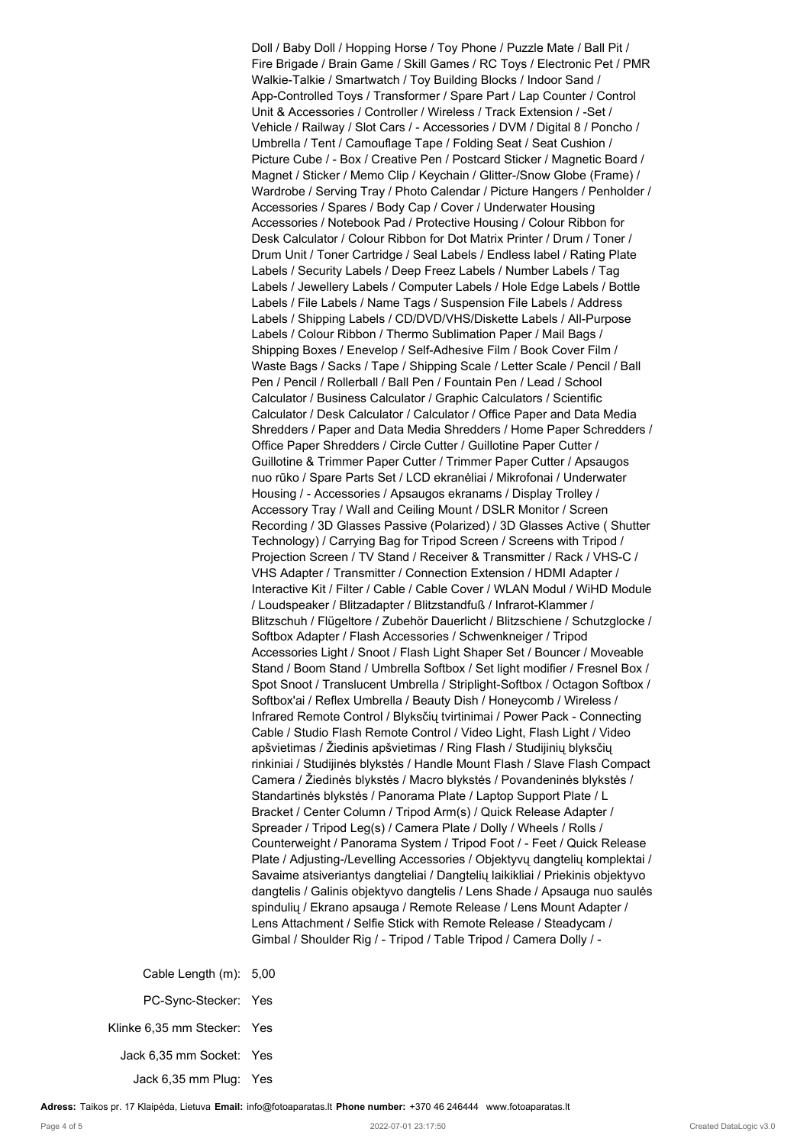Doll / Baby Doll / Hopping Horse / Toy Phone / Puzzle Mate / Ball Pit / Fire Brigade / Brain Game / Skill Games / RC Toys / Electronic Pet / PMR Walkie-Talkie / Smartwatch / Toy Building Blocks / Indoor Sand / App-Controlled Toys / Transformer / Spare Part / Lap Counter / Control Unit & Accessories / Controller / Wireless / Track Extension / -Set / Vehicle / Railway / Slot Cars / - Accessories / DVM / Digital 8 / Poncho / Umbrella / Tent / Camouflage Tape / Folding Seat / Seat Cushion / Picture Cube / - Box / Creative Pen / Postcard Sticker / Magnetic Board / Magnet / Sticker / Memo Clip / Keychain / Glitter-/Snow Globe (Frame) / Wardrobe / Serving Tray / Photo Calendar / Picture Hangers / Penholder / Accessories / Spares / Body Cap / Cover / Underwater Housing Accessories / Notebook Pad / Protective Housing / Colour Ribbon for Desk Calculator / Colour Ribbon for Dot Matrix Printer / Drum / Toner / Drum Unit / Toner Cartridge / Seal Labels / Endless label / Rating Plate Labels / Security Labels / Deep Freez Labels / Number Labels / Tag Labels / Jewellery Labels / Computer Labels / Hole Edge Labels / Bottle Labels / File Labels / Name Tags / Suspension File Labels / Address Labels / Shipping Labels / CD/DVD/VHS/Diskette Labels / All-Purpose Labels / Colour Ribbon / Thermo Sublimation Paper / Mail Bags / Shipping Boxes / Enevelop / Self-Adhesive Film / Book Cover Film / Waste Bags / Sacks / Tape / Shipping Scale / Letter Scale / Pencil / Ball Pen / Pencil / Rollerball / Ball Pen / Fountain Pen / Lead / School Calculator / Business Calculator / Graphic Calculators / Scientific Calculator / Desk Calculator / Calculator / Office Paper and Data Media Shredders / Paper and Data Media Shredders / Home Paper Schredders / Office Paper Shredders / Circle Cutter / Guillotine Paper Cutter / Guillotine & Trimmer Paper Cutter / Trimmer Paper Cutter / Apsaugos nuo rūko / Spare Parts Set / LCD ekranėliai / Mikrofonai / Underwater Housing / - Accessories / Apsaugos ekranams / Display Trolley / Accessory Tray / Wall and Ceiling Mount / DSLR Monitor / Screen Recording / 3D Glasses Passive (Polarized) / 3D Glasses Active ( Shutter Technology) / Carrying Bag for Tripod Screen / Screens with Tripod / Projection Screen / TV Stand / Receiver & Transmitter / Rack / VHS-C / VHS Adapter / Transmitter / Connection Extension / HDMI Adapter / Interactive Kit / Filter / Cable / Cable Cover / WLAN Modul / WiHD Module / Loudspeaker / Blitzadapter / Blitzstandfuß / Infrarot-Klammer / Blitzschuh / Flügeltore / Zubehör Dauerlicht / Blitzschiene / Schutzglocke / Softbox Adapter / Flash Accessories / Schwenkneiger / Tripod Accessories Light / Snoot / Flash Light Shaper Set / Bouncer / Moveable Stand / Boom Stand / Umbrella Softbox / Set light modifier / Fresnel Box / Spot Snoot / Translucent Umbrella / Striplight-Softbox / Octagon Softbox / Softbox'ai / Reflex Umbrella / Beauty Dish / Honeycomb / Wireless / Infrared Remote Control / Blyksčių tvirtinimai / Power Pack - Connecting Cable / Studio Flash Remote Control / Video Light, Flash Light / Video apšvietimas / Žiedinis apšvietimas / Ring Flash / Studijinių blyksčių rinkiniai / Studijinės blykstės / Handle Mount Flash / Slave Flash Compact Camera / Žiedinės blykstės / Macro blykstės / Povandeninės blykstės / Standartinės blykstės / Panorama Plate / Laptop Support Plate / L Bracket / Center Column / Tripod Arm(s) / Quick Release Adapter / Spreader / Tripod Leg(s) / Camera Plate / Dolly / Wheels / Rolls / Counterweight / Panorama System / Tripod Foot / - Feet / Quick Release Plate / Adjusting-/Levelling Accessories / Objektyvų dangtelių komplektai / Savaime atsiveriantys dangteliai / Dangtelių laikikliai / Priekinis objektyvo dangtelis / Galinis objektyvo dangtelis / Lens Shade / Apsauga nuo saulės spindulių / Ekrano apsauga / Remote Release / Lens Mount Adapter / Lens Attachment / Selfie Stick with Remote Release / Steadycam / Gimbal / Shoulder Rig / - Tripod / Table Tripod / Camera Dolly / -

Cable Length (m): 5,00 PC-Sync-Stecker: Yes Klinke 6,35 mm Stecker: Yes Jack 6,35 mm Socket: Yes Jack 6,35 mm Plug: Yes

**Adress:** Taikos pr. 17 Klaipėda, Lietuva **Email:** info@fotoaparatas.lt **Phone number:** +370 46 246444 www.fotoaparatas.lt